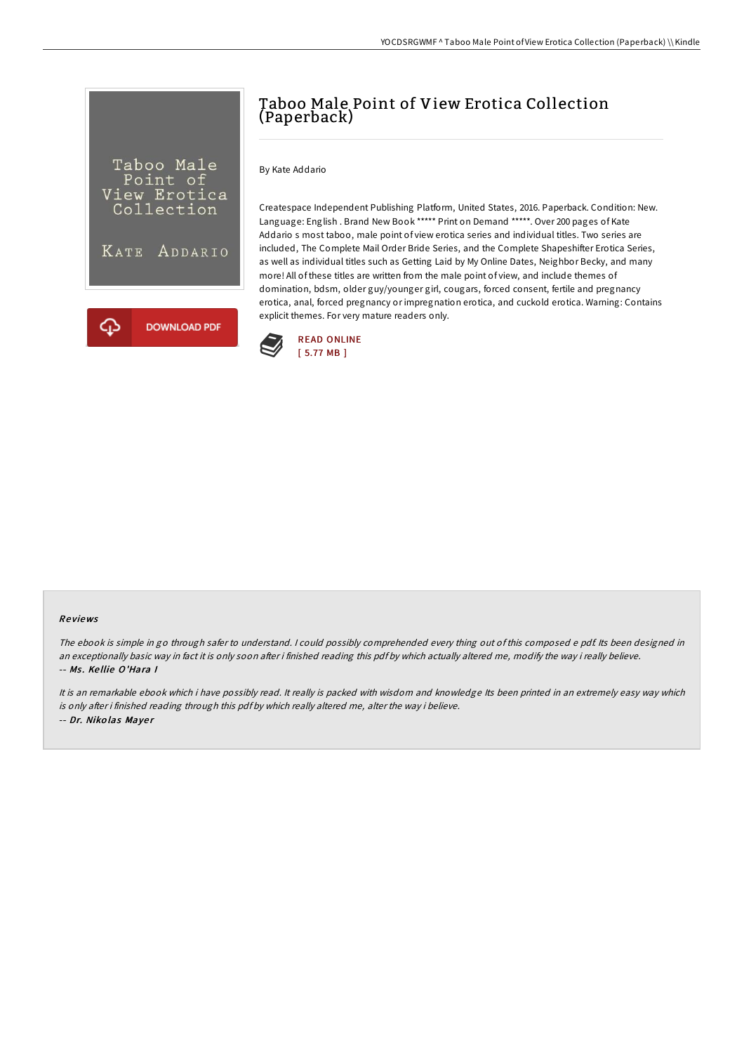

# Taboo Male Point of View Erotica Collection (Paperback)

By Kate Addario

Createspace Independent Publishing Platform, United States, 2016. Paperback. Condition: New. Language: English . Brand New Book \*\*\*\*\* Print on Demand \*\*\*\*\*. Over 200 pages of Kate Addario s most taboo, male point of view erotica series and individual titles. Two series are included, The Complete Mail Order Bride Series, and the Complete Shapeshifter Erotica Series, as well as individual titles such as Getting Laid by My Online Dates, Neighbor Becky, and many more! All of these titles are written from the male point of view, and include themes of domination, bdsm, older guy/younger girl, cougars, forced consent, fertile and pregnancy erotica, anal, forced pregnancy or impregnation erotica, and cuckold erotica. Warning: Contains explicit themes. For very mature readers only.



#### Re views

The ebook is simple in go through safer to understand. <sup>I</sup> could possibly comprehended every thing out of this composed <sup>e</sup> pdf. Its been designed in an exceptionally basic way in fact it is only soon after i finished reading this pdf by which actually altered me, modify the way i really believe. -- Ms. Kellie O'Hara I

It is an remarkable ebook which i have possibly read. It really is packed with wisdom and knowledge Its been printed in an extremely easy way which is only after i finished reading through this pdf by which really altered me, alter the way i believe. -- Dr. Niko las Maye <sup>r</sup>